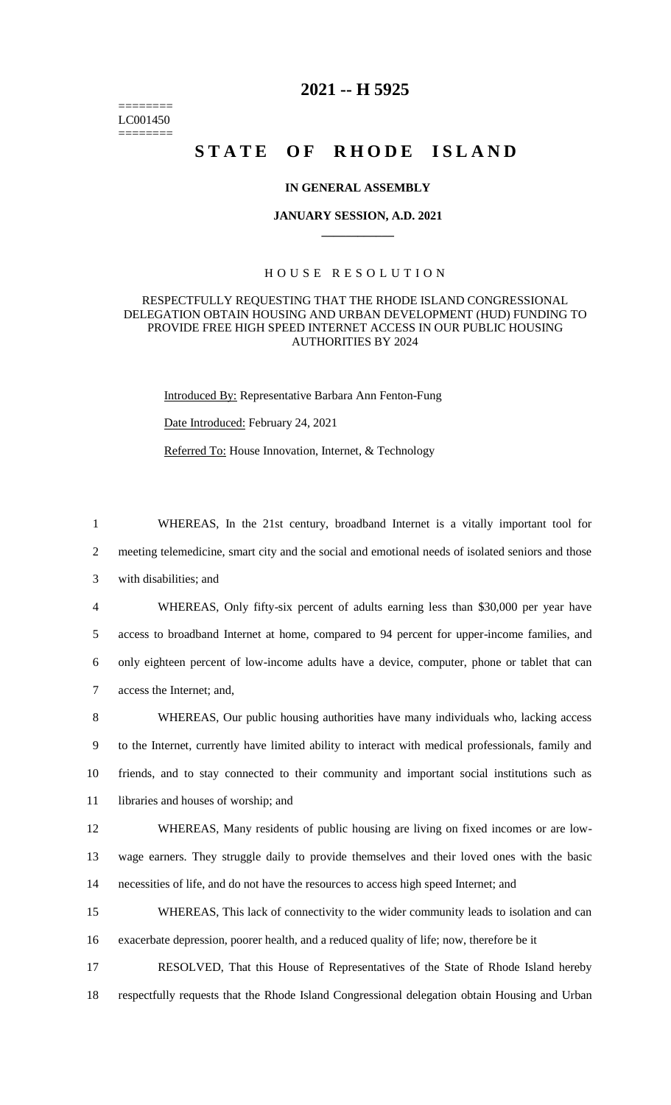======== LC001450 ========

# **2021 -- H 5925**

# **STATE OF RHODE ISLAND**

### **IN GENERAL ASSEMBLY**

#### **JANUARY SESSION, A.D. 2021 \_\_\_\_\_\_\_\_\_\_\_\_**

# H O U S E R E S O L U T I O N

# RESPECTFULLY REQUESTING THAT THE RHODE ISLAND CONGRESSIONAL DELEGATION OBTAIN HOUSING AND URBAN DEVELOPMENT (HUD) FUNDING TO PROVIDE FREE HIGH SPEED INTERNET ACCESS IN OUR PUBLIC HOUSING AUTHORITIES BY 2024

Introduced By: Representative Barbara Ann Fenton-Fung Date Introduced: February 24, 2021 Referred To: House Innovation, Internet, & Technology

1 WHEREAS, In the 21st century, broadband Internet is a vitally important tool for 2 meeting telemedicine, smart city and the social and emotional needs of isolated seniors and those 3 with disabilities; and

 WHEREAS, Only fifty-six percent of adults earning less than \$30,000 per year have access to broadband Internet at home, compared to 94 percent for upper-income families, and only eighteen percent of low-income adults have a device, computer, phone or tablet that can access the Internet; and,

 WHEREAS, Our public housing authorities have many individuals who, lacking access to the Internet, currently have limited ability to interact with medical professionals, family and friends, and to stay connected to their community and important social institutions such as libraries and houses of worship; and

12 WHEREAS, Many residents of public housing are living on fixed incomes or are low-13 wage earners. They struggle daily to provide themselves and their loved ones with the basic 14 necessities of life, and do not have the resources to access high speed Internet; and

15 WHEREAS, This lack of connectivity to the wider community leads to isolation and can 16 exacerbate depression, poorer health, and a reduced quality of life; now, therefore be it

17 RESOLVED, That this House of Representatives of the State of Rhode Island hereby 18 respectfully requests that the Rhode Island Congressional delegation obtain Housing and Urban